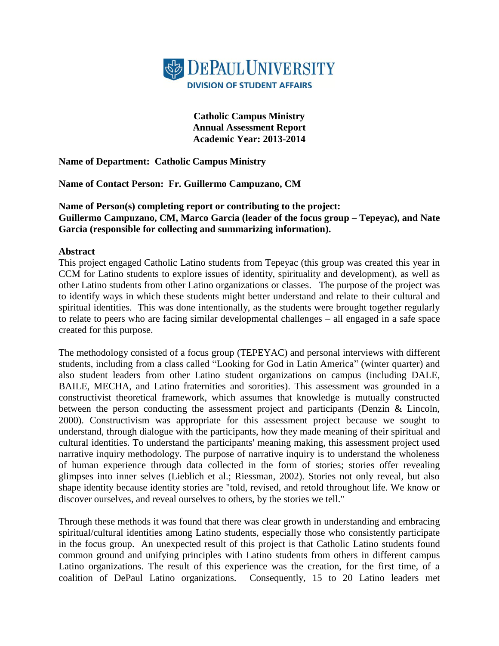

**Catholic Campus Ministry Annual Assessment Report Academic Year: 2013-2014**

**Name of Department: Catholic Campus Ministry**

**Name of Contact Person: Fr. Guillermo Campuzano, CM**

**Name of Person(s) completing report or contributing to the project: Guillermo Campuzano, CM, Marco Garcia (leader of the focus group – Tepeyac), and Nate Garcia (responsible for collecting and summarizing information).** 

#### **Abstract**

This project engaged Catholic Latino students from Tepeyac (this group was created this year in CCM for Latino students to explore issues of identity, spirituality and development), as well as other Latino students from other Latino organizations or classes. The purpose of the project was to identify ways in which these students might better understand and relate to their cultural and spiritual identities. This was done intentionally, as the students were brought together regularly to relate to peers who are facing similar developmental challenges – all engaged in a safe space created for this purpose.

The methodology consisted of a focus group (TEPEYAC) and personal interviews with different students, including from a class called "Looking for God in Latin America" (winter quarter) and also student leaders from other Latino student organizations on campus (including DALE, BAILE, MECHA, and Latino fraternities and sororities). This assessment was grounded in a constructivist theoretical framework, which assumes that knowledge is mutually constructed between the person conducting the assessment project and participants (Denzin & Lincoln, 2000). Constructivism was appropriate for this assessment project because we sought to understand, through dialogue with the participants, how they made meaning of their spiritual and cultural identities. To understand the participants' meaning making, this assessment project used narrative inquiry methodology. The purpose of narrative inquiry is to understand the wholeness of human experience through data collected in the form of stories; stories offer revealing glimpses into inner selves (Lieblich et al.; Riessman, 2002). Stories not only reveal, but also shape identity because identity stories are "told, revised, and retold throughout life. We know or discover ourselves, and reveal ourselves to others, by the stories we tell."

Through these methods it was found that there was clear growth in understanding and embracing spiritual/cultural identities among Latino students, especially those who consistently participate in the focus group. An unexpected result of this project is that Catholic Latino students found common ground and unifying principles with Latino students from others in different campus Latino organizations. The result of this experience was the creation, for the first time, of a coalition of DePaul Latino organizations. Consequently, 15 to 20 Latino leaders met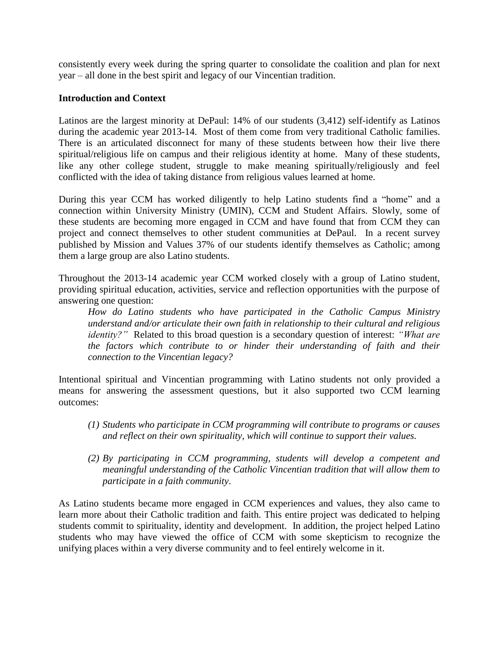consistently every week during the spring quarter to consolidate the coalition and plan for next year – all done in the best spirit and legacy of our Vincentian tradition.

### **Introduction and Context**

Latinos are the largest minority at DePaul: 14% of our students (3,412) self-identify as Latinos during the academic year 2013-14. Most of them come from very traditional Catholic families. There is an articulated disconnect for many of these students between how their live there spiritual/religious life on campus and their religious identity at home. Many of these students, like any other college student, struggle to make meaning spiritually/religiously and feel conflicted with the idea of taking distance from religious values learned at home.

During this year CCM has worked diligently to help Latino students find a "home" and a connection within University Ministry (UMIN), CCM and Student Affairs. Slowly, some of these students are becoming more engaged in CCM and have found that from CCM they can project and connect themselves to other student communities at DePaul. In a recent survey published by Mission and Values 37% of our students identify themselves as Catholic; among them a large group are also Latino students.

Throughout the 2013-14 academic year CCM worked closely with a group of Latino student, providing spiritual education, activities, service and reflection opportunities with the purpose of answering one question:

*How do Latino students who have participated in the Catholic Campus Ministry understand and/or articulate their own faith in relationship to their cultural and religious identity?"* Related to this broad question is a secondary question of interest: *"What are the factors which contribute to or hinder their understanding of faith and their connection to the Vincentian legacy?*

Intentional spiritual and Vincentian programming with Latino students not only provided a means for answering the assessment questions, but it also supported two CCM learning outcomes:

- *(1) Students who participate in CCM programming will contribute to programs or causes and reflect on their own spirituality, which will continue to support their values.*
- *(2) By participating in CCM programming, students will develop a competent and meaningful understanding of the Catholic Vincentian tradition that will allow them to participate in a faith community*.

As Latino students became more engaged in CCM experiences and values, they also came to learn more about their Catholic tradition and faith. This entire project was dedicated to helping students commit to spirituality, identity and development. In addition, the project helped Latino students who may have viewed the office of CCM with some skepticism to recognize the unifying places within a very diverse community and to feel entirely welcome in it.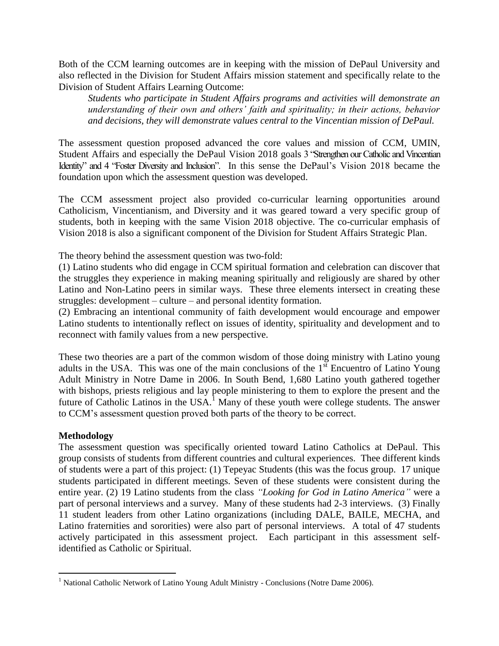Both of the CCM learning outcomes are in keeping with the mission of DePaul University and also reflected in the Division for Student Affairs mission statement and specifically relate to the Division of Student Affairs Learning Outcome:

*Students who participate in Student Affairs programs and activities will demonstrate an understanding of their own and others' faith and spirituality; in their actions, behavior and decisions, they will demonstrate values central to the Vincentian mission of DePaul.*

The assessment question proposed advanced the core values and mission of CCM, UMIN, Student Affairs and especially the DePaul Vision 2018 goals 3 "Strengthen our Catholic and Vincentian Identity" and 4 "Foster Diversity and Inclusion". In this sense the DePaul's Vision 2018 became the foundation upon which the assessment question was developed.

The CCM assessment project also provided co-curricular learning opportunities around Catholicism, Vincentianism, and Diversity and it was geared toward a very specific group of students, both in keeping with the same Vision 2018 objective. The co-curricular emphasis of Vision 2018 is also a significant component of the Division for Student Affairs Strategic Plan.

The theory behind the assessment question was two-fold:

(1) Latino students who did engage in CCM spiritual formation and celebration can discover that the struggles they experience in making meaning spiritually and religiously are shared by other Latino and Non-Latino peers in similar ways. These three elements intersect in creating these struggles: development – culture – and personal identity formation.

(2) Embracing an intentional community of faith development would encourage and empower Latino students to intentionally reflect on issues of identity, spirituality and development and to reconnect with family values from a new perspective.

These two theories are a part of the common wisdom of those doing ministry with Latino young adults in the USA. This was one of the main conclusions of the  $1<sup>st</sup>$  Encuentro of Latino Young Adult Ministry in Notre Dame in 2006. In South Bend, 1,680 Latino youth gathered together with bishops, priests religious and lay people ministering to them to explore the present and the future of Catholic Latinos in the USA.<sup>1</sup> Many of these youth were college students. The answer to CCM's assessment question proved both parts of the theory to be correct.

#### **Methodology**

 $\overline{a}$ 

The assessment question was specifically oriented toward Latino Catholics at DePaul. This group consists of students from different countries and cultural experiences. Thee different kinds of students were a part of this project: (1) Tepeyac Students (this was the focus group. 17 unique students participated in different meetings. Seven of these students were consistent during the entire year. (2) 19 Latino students from the class *"Looking for God in Latino America"* were a part of personal interviews and a survey. Many of these students had 2-3 interviews. (3) Finally 11 student leaders from other Latino organizations (including DALE, BAILE, MECHA, and Latino fraternities and sororities) were also part of personal interviews. A total of 47 students actively participated in this assessment project. Each participant in this assessment selfidentified as Catholic or Spiritual.

<sup>&</sup>lt;sup>1</sup> National Catholic Network of Latino Young Adult Ministry - Conclusions (Notre Dame 2006).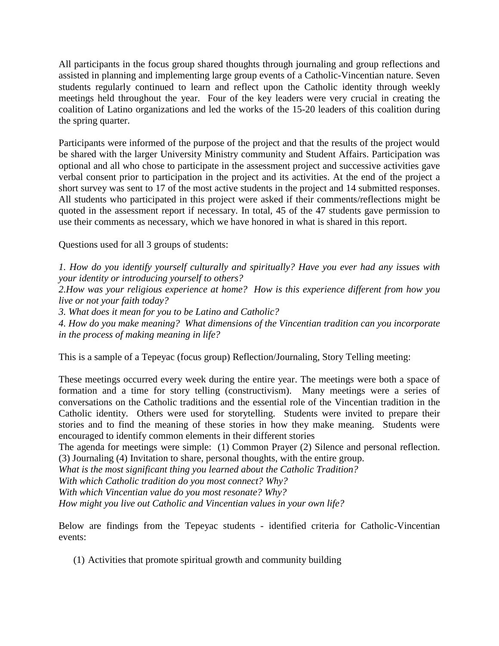All participants in the focus group shared thoughts through journaling and group reflections and assisted in planning and implementing large group events of a Catholic-Vincentian nature. Seven students regularly continued to learn and reflect upon the Catholic identity through weekly meetings held throughout the year. Four of the key leaders were very crucial in creating the coalition of Latino organizations and led the works of the 15-20 leaders of this coalition during the spring quarter.

Participants were informed of the purpose of the project and that the results of the project would be shared with the larger University Ministry community and Student Affairs. Participation was optional and all who chose to participate in the assessment project and successive activities gave verbal consent prior to participation in the project and its activities. At the end of the project a short survey was sent to 17 of the most active students in the project and 14 submitted responses. All students who participated in this project were asked if their comments/reflections might be quoted in the assessment report if necessary. In total, 45 of the 47 students gave permission to use their comments as necessary, which we have honored in what is shared in this report.

Questions used for all 3 groups of students:

*1. How do you identify yourself culturally and spiritually? Have you ever had any issues with your identity or introducing yourself to others?*

*2.How was your religious experience at home? How is this experience different from how you live or not your faith today?* 

*3. What does it mean for you to be Latino and Catholic?*

*4. How do you make meaning? What dimensions of the Vincentian tradition can you incorporate in the process of making meaning in life?*

This is a sample of a Tepeyac (focus group) Reflection/Journaling, Story Telling meeting:

These meetings occurred every week during the entire year. The meetings were both a space of formation and a time for story telling (constructivism). Many meetings were a series of conversations on the Catholic traditions and the essential role of the Vincentian tradition in the Catholic identity. Others were used for storytelling. Students were invited to prepare their stories and to find the meaning of these stories in how they make meaning. Students were encouraged to identify common elements in their different stories

The agenda for meetings were simple: (1) Common Prayer (2) Silence and personal reflection. (3) Journaling (4) Invitation to share, personal thoughts, with the entire group.

*What is the most significant thing you learned about the Catholic Tradition?*

*With which Catholic tradition do you most connect? Why?*

*With which Vincentian value do you most resonate? Why?*

*How might you live out Catholic and Vincentian values in your own life?*

Below are findings from the Tepeyac students - identified criteria for Catholic-Vincentian events:

(1) Activities that promote spiritual growth and community building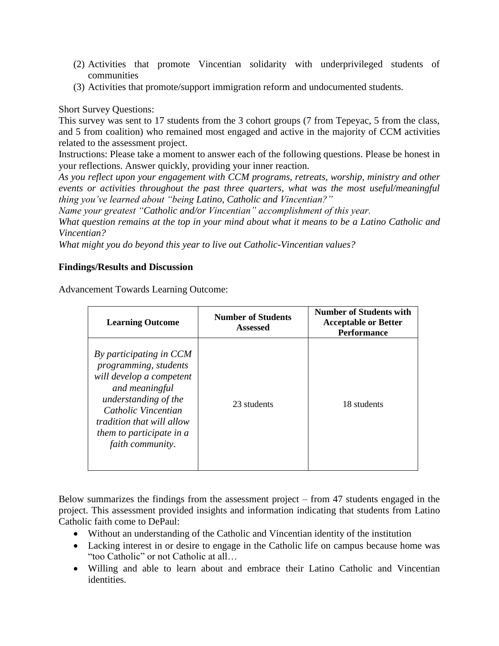- (2) Activities that promote Vincentian solidarity with underprivileged students of communities
- (3) Activities that promote/support immigration reform and undocumented students.

# Short Survey Questions:

This survey was sent to 17 students from the 3 cohort groups (7 from Tepeyac, 5 from the class, and 5 from coalition) who remained most engaged and active in the majority of CCM activities related to the assessment project.

Instructions: Please take a moment to answer each of the following questions. Please be honest in your reflections. Answer quickly, providing your inner reaction.

*As you reflect upon your engagement with CCM programs, retreats, worship, ministry and other events or activities throughout the past three quarters, what was the most useful/meaningful thing you've learned about "being Latino, Catholic and Vincentian?"*

*Name your greatest "Catholic and/or Vincentian" accomplishment of this year.*

*What question remains at the top in your mind about what it means to be a Latino Catholic and Vincentian?*

*What might you do beyond this year to live out Catholic-Vincentian values?*

# **Findings/Results and Discussion**

Advancement Towards Learning Outcome:

| <b>Learning Outcome</b>                                                                                                                                                                                                                  | <b>Number of Students</b><br><b>Assessed</b> | <b>Number of Students with</b><br><b>Acceptable or Better</b><br><b>Performance</b> |
|------------------------------------------------------------------------------------------------------------------------------------------------------------------------------------------------------------------------------------------|----------------------------------------------|-------------------------------------------------------------------------------------|
| By participating in CCM<br>programming, students<br>will develop a competent<br>and meaningful<br>understanding of the<br>Catholic Vincentian<br><i>tradition that will allow</i><br><i>them to participate in a</i><br>faith community. | 23 students                                  | 18 students                                                                         |

Below summarizes the findings from the assessment project – from 47 students engaged in the project. This assessment provided insights and information indicating that students from Latino Catholic faith come to DePaul:

- Without an understanding of the Catholic and Vincentian identity of the institution
- Lacking interest in or desire to engage in the Catholic life on campus because home was "too Catholic" or not Catholic at all…
- Willing and able to learn about and embrace their Latino Catholic and Vincentian identities.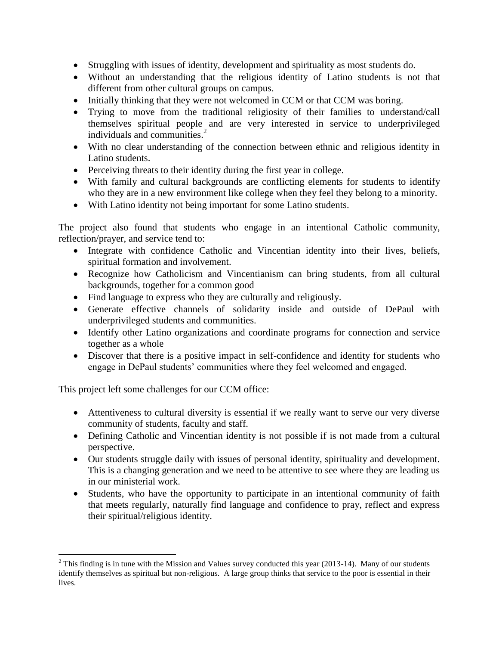- Struggling with issues of identity, development and spirituality as most students do.
- Without an understanding that the religious identity of Latino students is not that different from other cultural groups on campus.
- Initially thinking that they were not welcomed in CCM or that CCM was boring.
- Trying to move from the traditional religiosity of their families to understand/call themselves spiritual people and are very interested in service to underprivileged individuals and communities.<sup>2</sup>
- With no clear understanding of the connection between ethnic and religious identity in Latino students.
- Perceiving threats to their identity during the first year in college.
- With family and cultural backgrounds are conflicting elements for students to identify who they are in a new environment like college when they feel they belong to a minority.
- With Latino identity not being important for some Latino students.

The project also found that students who engage in an intentional Catholic community, reflection/prayer, and service tend to:

- Integrate with confidence Catholic and Vincentian identity into their lives, beliefs, spiritual formation and involvement.
- Recognize how Catholicism and Vincentianism can bring students, from all cultural backgrounds, together for a common good
- Find language to express who they are culturally and religiously.
- Generate effective channels of solidarity inside and outside of DePaul with underprivileged students and communities.
- Identify other Latino organizations and coordinate programs for connection and service together as a whole
- Discover that there is a positive impact in self-confidence and identity for students who engage in DePaul students' communities where they feel welcomed and engaged.

This project left some challenges for our CCM office:

 $\overline{a}$ 

- Attentiveness to cultural diversity is essential if we really want to serve our very diverse community of students, faculty and staff.
- Defining Catholic and Vincentian identity is not possible if is not made from a cultural perspective.
- Our students struggle daily with issues of personal identity, spirituality and development. This is a changing generation and we need to be attentive to see where they are leading us in our ministerial work.
- Students, who have the opportunity to participate in an intentional community of faith that meets regularly, naturally find language and confidence to pray, reflect and express their spiritual/religious identity.

 $2$  This finding is in tune with the Mission and Values survey conducted this year (2013-14). Many of our students identify themselves as spiritual but non-religious. A large group thinks that service to the poor is essential in their lives.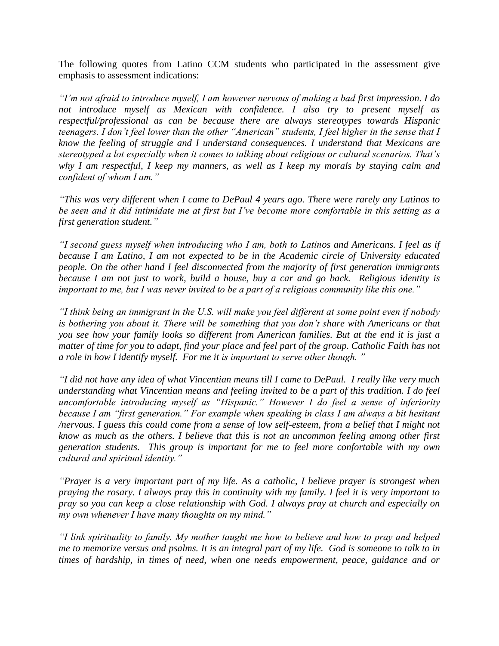The following quotes from Latino CCM students who participated in the assessment give emphasis to assessment indications:

*"I'm not afraid to introduce myself, I am however nervous of making a bad first impression. I do not introduce myself as Mexican with confidence. I also try to present myself as respectful/professional as can be because there are always stereotypes towards Hispanic teenagers. I don't feel lower than the other "American" students, I feel higher in the sense that I know the feeling of struggle and I understand consequences. I understand that Mexicans are stereotyped a lot especially when it comes to talking about religious or cultural scenarios. That's why I am respectful, I keep my manners, as well as I keep my morals by staying calm and confident of whom I am."*

*"This was very different when I came to DePaul 4 years ago. There were rarely any Latinos to be seen and it did intimidate me at first but I've become more comfortable in this setting as a first generation student."*

*"I second guess myself when introducing who I am, both to Latinos and Americans. I feel as if because I am Latino, I am not expected to be in the Academic circle of University educated people. On the other hand I feel disconnected from the majority of first generation immigrants because I am not just to work, build a house, buy a car and go back. Religious identity is important to me, but I was never invited to be a part of a religious community like this one."*

*"I think being an immigrant in the U.S. will make you feel different at some point even if nobody is bothering you about it. There will be something that you don't share with Americans or that you see how your family looks so different from American families. But at the end it is just a matter of time for you to adapt, find your place and feel part of the group. Catholic Faith has not a role in how I identify myself. For me it is important to serve other though. "*

*"I did not have any idea of what Vincentian means till I came to DePaul. I really like very much understanding what Vincentian means and feeling invited to be a part of this tradition. I do feel uncomfortable introducing myself as "Hispanic." However I do feel a sense of inferiority because I am "first generation." For example when speaking in class I am always a bit hesitant /nervous. I guess this could come from a sense of low self-esteem, from a belief that I might not know as much as the others. I believe that this is not an uncommon feeling among other first generation students. This group is important for me to feel more confortable with my own cultural and spiritual identity."*

*"Prayer is a very important part of my life. As a catholic, I believe prayer is strongest when praying the rosary. I always pray this in continuity with my family. I feel it is very important to pray so you can keep a close relationship with God. I always pray at church and especially on my own whenever I have many thoughts on my mind."*

*"I link spirituality to family. My mother taught me how to believe and how to pray and helped me to memorize versus and psalms. It is an integral part of my life. God is someone to talk to in times of hardship, in times of need, when one needs empowerment, peace, guidance and or*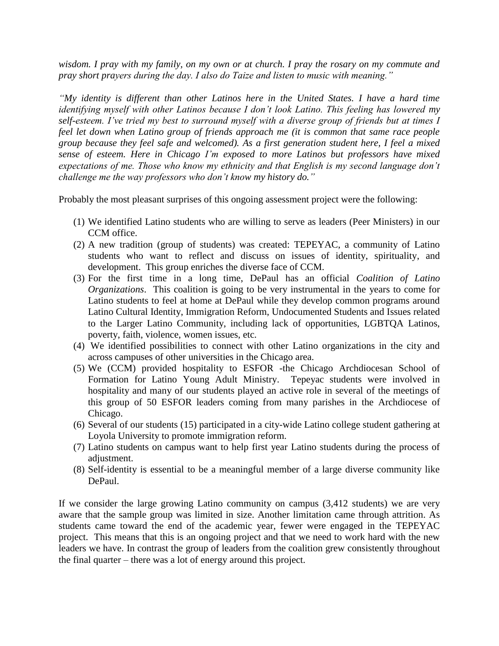*wisdom. I pray with my family, on my own or at church. I pray the rosary on my commute and pray short prayers during the day. I also do Taize and listen to music with meaning."*

*"My identity is different than other Latinos here in the United States. I have a hard time identifying myself with other Latinos because I don't look Latino. This feeling has lowered my self-esteem. I've tried my best to surround myself with a diverse group of friends but at times I feel let down when Latino group of friends approach me (it is common that same race people group because they feel safe and welcomed). As a first generation student here, I feel a mixed sense of esteem. Here in Chicago I'm exposed to more Latinos but professors have mixed expectations of me. Those who know my ethnicity and that English is my second language don't challenge me the way professors who don't know my history do."*

Probably the most pleasant surprises of this ongoing assessment project were the following:

- (1) We identified Latino students who are willing to serve as leaders (Peer Ministers) in our CCM office.
- (2) A new tradition (group of students) was created: TEPEYAC, a community of Latino students who want to reflect and discuss on issues of identity, spirituality, and development. This group enriches the diverse face of CCM.
- (3) For the first time in a long time, DePaul has an official *Coalition of Latino Organizations*. This coalition is going to be very instrumental in the years to come for Latino students to feel at home at DePaul while they develop common programs around Latino Cultural Identity, Immigration Reform, Undocumented Students and Issues related to the Larger Latino Community, including lack of opportunities, LGBTQA Latinos, poverty, faith, violence, women issues, etc.
- (4) We identified possibilities to connect with other Latino organizations in the city and across campuses of other universities in the Chicago area.
- (5) We (CCM) provided hospitality to ESFOR -the Chicago Archdiocesan School of Formation for Latino Young Adult Ministry. Tepeyac students were involved in hospitality and many of our students played an active role in several of the meetings of this group of 50 ESFOR leaders coming from many parishes in the Archdiocese of Chicago.
- (6) Several of our students (15) participated in a city-wide Latino college student gathering at Loyola University to promote immigration reform.
- (7) Latino students on campus want to help first year Latino students during the process of adjustment.
- (8) Self-identity is essential to be a meaningful member of a large diverse community like DePaul.

If we consider the large growing Latino community on campus (3,412 students) we are very aware that the sample group was limited in size. Another limitation came through attrition. As students came toward the end of the academic year, fewer were engaged in the TEPEYAC project. This means that this is an ongoing project and that we need to work hard with the new leaders we have. In contrast the group of leaders from the coalition grew consistently throughout the final quarter – there was a lot of energy around this project.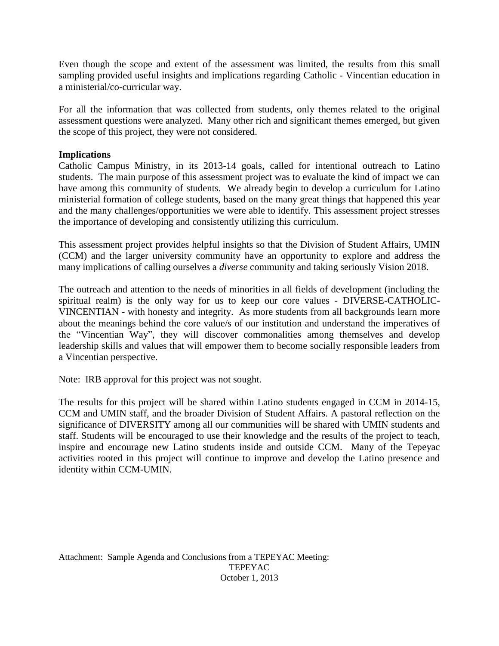Even though the scope and extent of the assessment was limited, the results from this small sampling provided useful insights and implications regarding Catholic - Vincentian education in a ministerial/co-curricular way.

For all the information that was collected from students, only themes related to the original assessment questions were analyzed. Many other rich and significant themes emerged, but given the scope of this project, they were not considered.

# **Implications**

Catholic Campus Ministry, in its 2013-14 goals, called for intentional outreach to Latino students. The main purpose of this assessment project was to evaluate the kind of impact we can have among this community of students. We already begin to develop a curriculum for Latino ministerial formation of college students, based on the many great things that happened this year and the many challenges/opportunities we were able to identify. This assessment project stresses the importance of developing and consistently utilizing this curriculum.

This assessment project provides helpful insights so that the Division of Student Affairs, UMIN (CCM) and the larger university community have an opportunity to explore and address the many implications of calling ourselves a *diverse* community and taking seriously Vision 2018.

The outreach and attention to the needs of minorities in all fields of development (including the spiritual realm) is the only way for us to keep our core values - DIVERSE-CATHOLIC-VINCENTIAN - with honesty and integrity. As more students from all backgrounds learn more about the meanings behind the core value/s of our institution and understand the imperatives of the "Vincentian Way", they will discover commonalities among themselves and develop leadership skills and values that will empower them to become socially responsible leaders from a Vincentian perspective.

Note: IRB approval for this project was not sought.

The results for this project will be shared within Latino students engaged in CCM in 2014-15, CCM and UMIN staff, and the broader Division of Student Affairs. A pastoral reflection on the significance of DIVERSITY among all our communities will be shared with UMIN students and staff. Students will be encouraged to use their knowledge and the results of the project to teach, inspire and encourage new Latino students inside and outside CCM. Many of the Tepeyac activities rooted in this project will continue to improve and develop the Latino presence and identity within CCM-UMIN.

Attachment: Sample Agenda and Conclusions from a TEPEYAC Meeting: TEPEYAC October 1, 2013